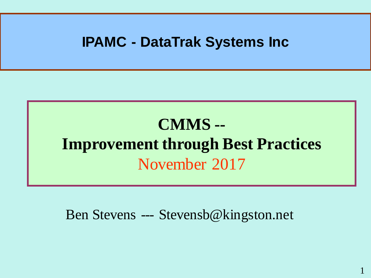#### **IPAMC - DataTrak Systems Inc**

## **CMMS -- Improvement through Best Practices** November 2017

Ben Stevens --- Stevensb@kingston.net

1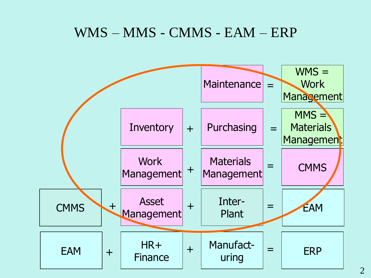#### WMS – MMS - CMMS - EAM – ERP

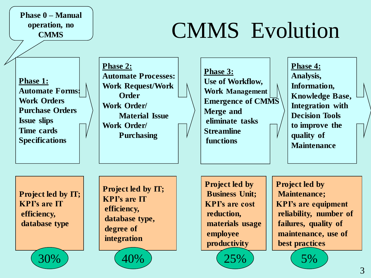**Phase 0 – Manual operation, no CMMS**

# CMMS Evolution

**Phase 1: Automate Forms: Work Orders Purchase Orders Issue slips Time cards Specifications**

**Phase 2: Automate Processes: Work Request/Work Order Work Order/ Material Issue Work Order/ Purchasing**

**Phase 3: Use of Workflow, Work Management Emergence of CMMS Merge and eliminate tasks Streamline functions**

**Phase 4: Analysis, Information, Knowledge Base, Integration with Decision Tools to improve the quality of Maintenance** 

**Project led by IT; KPI's are IT efficiency, database type** 

30%

**Project led by IT; KPI's are IT efficiency, database type, degree of integration** 

40%

**Project led by Business Unit; KPI's are cost reduction, materials usage employee productivity** 

25%

**Project led by Maintenance; KPI's are equipment reliability, number of failures, quality of maintenance, use of best practices**

5%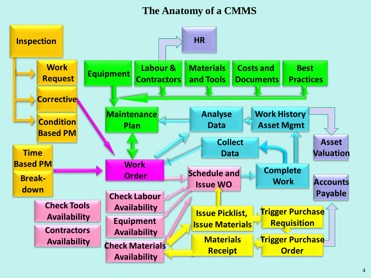#### **The Anatomy of a CMMS**

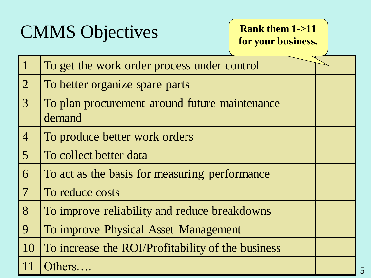# CMMS Objectives

#### **Rank them 1->11 for your business.**

| $\mathbf{1}$    | To get the work order process under control             |  |
|-----------------|---------------------------------------------------------|--|
| $\overline{2}$  | To better organize spare parts                          |  |
| $\overline{3}$  | To plan procurement around future maintenance<br>demand |  |
| $\overline{4}$  | To produce better work orders                           |  |
| $\overline{5}$  | To collect better data                                  |  |
| 6               | To act as the basis for measuring performance           |  |
| $7\phantom{.0}$ | To reduce costs                                         |  |
| 8               | To improve reliability and reduce breakdowns            |  |
| 9               | To improve Physical Asset Management                    |  |
| 10              | To increase the ROI/Profitability of the business       |  |
| 11              | Others                                                  |  |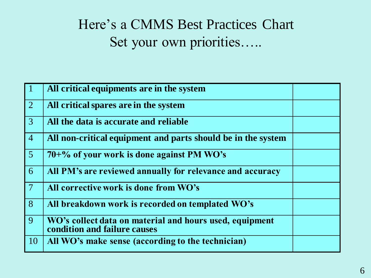#### Here's a CMMS Best Practices Chart Set your own priorities…..

| $\vert 1 \vert$ | All critical equipments are in the system                                               |  |
|-----------------|-----------------------------------------------------------------------------------------|--|
| $\overline{2}$  | All critical spares are in the system                                                   |  |
| $\boxed{3}$     | All the data is accurate and reliable                                                   |  |
| $\overline{4}$  | All non-critical equipment and parts should be in the system                            |  |
| 5 <sup>5</sup>  | $70+$ % of your work is done against PM WO's                                            |  |
| 6               | All PM's are reviewed annually for relevance and accuracy                               |  |
| $7\phantom{.0}$ | All corrective work is done from WO's                                                   |  |
| 8               | All breakdown work is recorded on templated WO's                                        |  |
| 9               | WO's collect data on material and hours used, equipment<br>condition and failure causes |  |
| <b>10</b>       | All WO's make sense (according to the technician)                                       |  |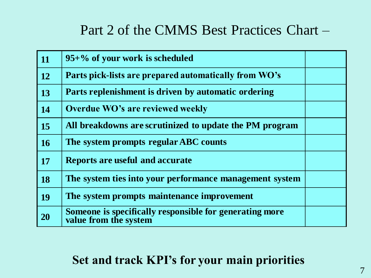#### Part 2 of the CMMS Best Practices Chart –

| $\vert$ 11 | $95+%$ of your work is scheduled                                                 |  |
|------------|----------------------------------------------------------------------------------|--|
| <b>12</b>  | Parts pick-lists are prepared automatically from WO's                            |  |
| 13         | Parts replenishment is driven by automatic ordering                              |  |
| 14         | Overdue WO's are reviewed weekly                                                 |  |
| 15         | All breakdowns are scrutinized to update the PM program                          |  |
| <b>16</b>  | The system prompts regular ABC counts                                            |  |
| <b>17</b>  | <b>Reports are useful and accurate</b>                                           |  |
| <b>18</b>  | The system ties into your performance management system                          |  |
| 19         | The system prompts maintenance improvement                                       |  |
| 20         | Someone is specifically responsible for generating more<br>value from the system |  |

#### **Set and track KPI's for your main priorities**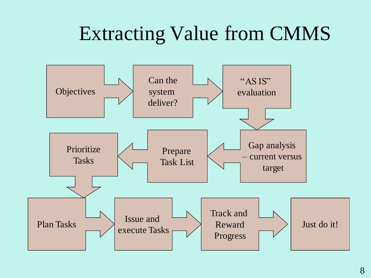# Extracting Value from CMMS

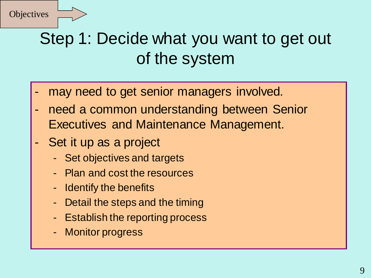## Step 1: Decide what you want to get out of the system

- may need to get senior managers involved.
- need a common understanding between Senior Executives and Maintenance Management.
- Set it up as a project
	- Set objectives and targets
	- Plan and cost the resources
	- Identify the benefits
	- Detail the steps and the timing
	- Establish the reporting process
	- Monitor progress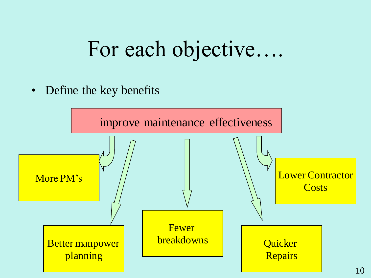# For each objective….

• Define the key benefits

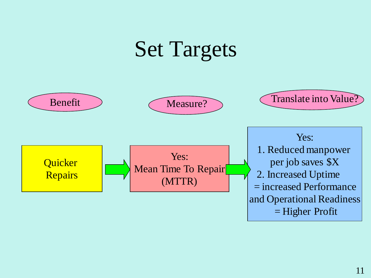# Set Targets

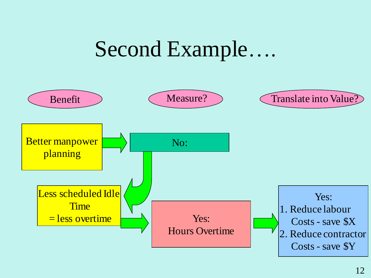# Second Example….

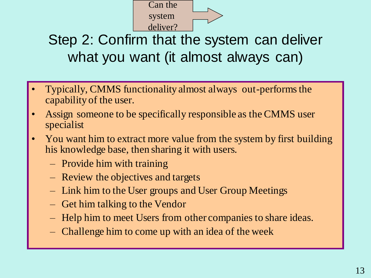

#### Step 2: Confirm that the system can deliver what you want (it almost always can)

- Typically, CMMS functionality almost always out-performs the capability of the user.
- Assign someone to be specifically responsible as the CMMS user specialist
- You want him to extract more value from the system by first building his knowledge base, then sharing it with users.
	- Provide him with training
	- Review the objectives and targets
	- Link him to the User groups and User Group Meetings
	- Get him talking to the Vendor
	- Help him to meet Users from other companies to share ideas.
	- Challenge him to come up with an idea of the week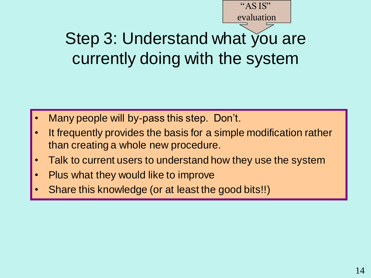# Step 3: Understand what you are currently doing with the system

- Many people will by-pass this step. Don't.
- It frequently provides the basis for a simple modification rather than creating a whole new procedure.
- Talk to current users to understand how they use the system
- Plus what they would like to improve
- Share this knowledge (or at least the good bits!!)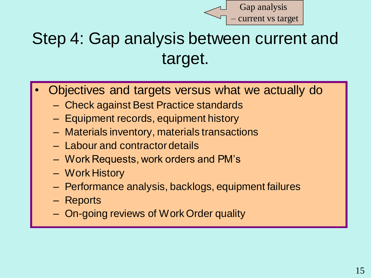

## Step 4: Gap analysis between current and target.

- Objectives and targets versus what we actually do
	- Check against Best Practice standards
	- Equipment records, equipment history
	- Materials inventory, materials transactions
	- Labour and contractor details
	- Work Requests, work orders and PM's
	- Work History
	- Performance analysis, backlogs, equipment failures
	- Reports
	- On-going reviews of Work Order quality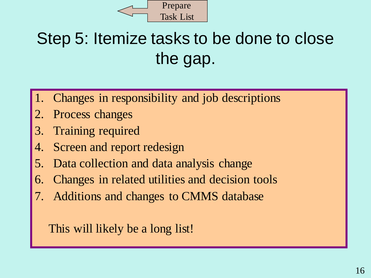

# Step 5: Itemize tasks to be done to close the gap.

- Changes in responsibility and job descriptions
- 2. Process changes
- 3. Training required
- 4. Screen and report redesign
- 5. Data collection and data analysis change
- 6. Changes in related utilities and decision tools
- Additions and changes to CMMS database

This will likely be a long list!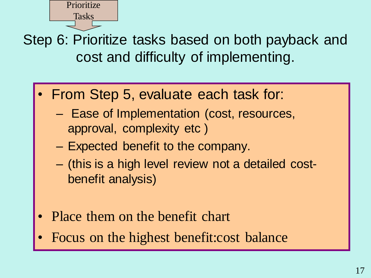Prioritize Tasks

Step 6: Prioritize tasks based on both payback and cost and difficulty of implementing.

- From Step 5, evaluate each task for:
	- Ease of Implementation (cost, resources, approval, complexity etc )
	- Expected benefit to the company.
	- (this is a high level review not a detailed costbenefit analysis)
- Place them on the benefit chart
- Focus on the highest benefit:cost balance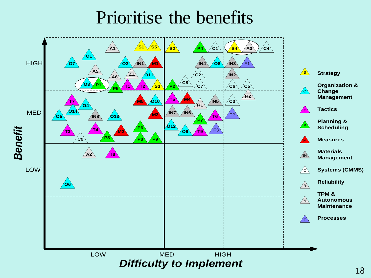## Prioritise the benefits

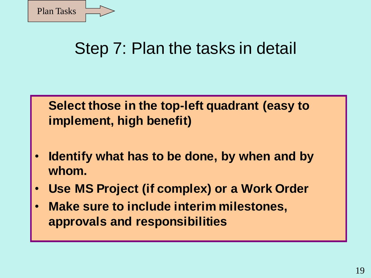

#### Step 7: Plan the tasks in detail

#### **Select those in the top-left quadrant (easy to implement, high benefit)**

- **Identify what has to be done, by when and by whom.**
- **Use MS Project (if complex) or a Work Order**
- **Make sure to include interim milestones, approvals and responsibilities**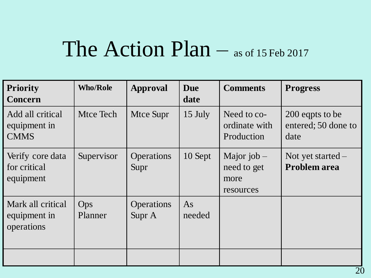# The Action Plan – as of 15 Feb 2017

| <b>Priority</b><br>Concern                      | <b>Who/Role</b> | Approval                    | <b>Due</b><br>date | <b>Comments</b>                                   | <b>Progress</b>                                |
|-------------------------------------------------|-----------------|-----------------------------|--------------------|---------------------------------------------------|------------------------------------------------|
| Add all critical<br>equipment in<br><b>CMMS</b> | Mtce Tech       | Mtce Supr                   | 15 July            | Need to co-<br>ordinate with<br>Production        | 200 eqpts to be<br>entered; 50 done to<br>date |
| Verify core data<br>for critical<br>equipment   | Supervisor      | <b>Operations</b><br>Supr   | 10 Sept            | Major job $-$<br>need to get<br>more<br>resources | Not yet started $-$<br><b>Problem area</b>     |
| Mark all critical<br>equipment in<br>operations | Ops<br>Planner  | <b>Operations</b><br>Supr A | As<br>needed       |                                                   |                                                |
|                                                 |                 |                             |                    |                                                   |                                                |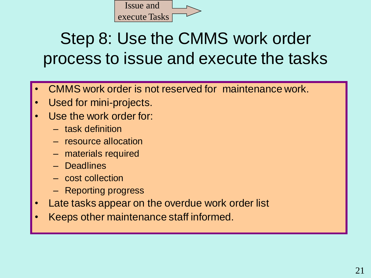

## Step 8: Use the CMMS work order process to issue and execute the tasks

- CMMS work order is not reserved for maintenance work.
- Used for mini-projects.
- Use the work order for:
	- task definition
	- resource allocation
	- materials required
	- Deadlines
	- cost collection
	- Reporting progress
- Late tasks appear on the overdue work order list
- Keeps other maintenance staff informed.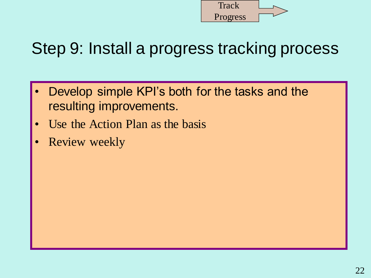

## Step 9: Install a progress tracking process

- Develop simple KPI's both for the tasks and the resulting improvements.
- Use the Action Plan as the basis
- **Review weekly**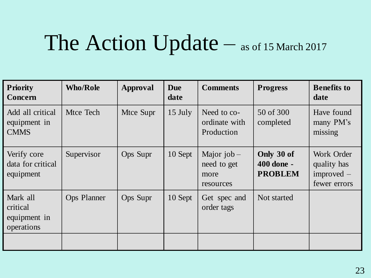# The Action Update – as of 15 March 2017

| <b>Priority</b><br>Concern                         | <b>Who/Role</b>    | Approval  | <b>Due</b><br>date | <b>Comments</b>                                   | <b>Progress</b>                            | <b>Benefits to</b><br>date                                |
|----------------------------------------------------|--------------------|-----------|--------------------|---------------------------------------------------|--------------------------------------------|-----------------------------------------------------------|
| Add all critical<br>equipment in<br><b>CMMS</b>    | Mtce Tech          | Mtce Supr | $15$ July          | Need to co-<br>ordinate with<br>Production        | 50 of 300<br>completed                     | Have found<br>many PM's<br>missing                        |
| Verify core<br>data for critical<br>equipment      | Supervisor         | Ops Supr  | 10 Sept            | Major $job -$<br>need to get<br>more<br>resources | Only 30 of<br>400 done -<br><b>PROBLEM</b> | Work Order<br>quality has<br>$improved$ –<br>fewer errors |
| Mark all<br>critical<br>equipment in<br>operations | <b>Ops Planner</b> | Ops Supr  | 10 Sept            | Get spec and<br>order tags                        | Not started                                |                                                           |
|                                                    |                    |           |                    |                                                   |                                            |                                                           |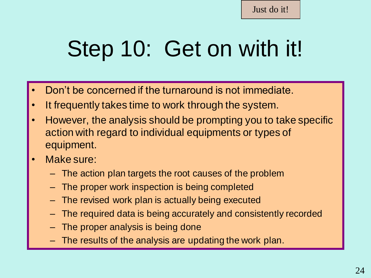# Step 10: Get on with it!

- Don't be concerned if the turnaround is not immediate.
- It frequently takes time to work through the system.
- However, the analysis should be prompting you to take specific action with regard to individual equipments or types of equipment.
- Make sure:
	- The action plan targets the root causes of the problem
	- The proper work inspection is being completed
	- The revised work plan is actually being executed
	- The required data is being accurately and consistently recorded
	- The proper analysis is being done
	- The results of the analysis are updating the work plan.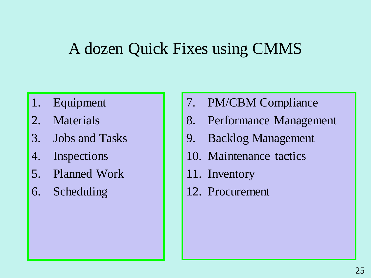#### A dozen Quick Fixes using CMMS

- 1. Equipment
- 2. Materials
- 3. Jobs and Tasks
- 4. Inspections
- 5. Planned Work
- 6. Scheduling
- 7. PM/CBM Compliance
- 8. Performance Management
- 9. Backlog Management
- 10. Maintenance tactics
- 11. Inventory
- 12. Procurement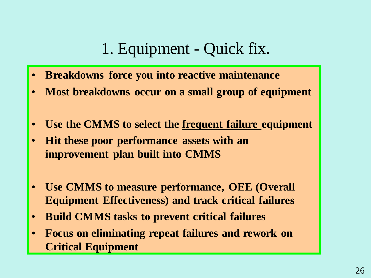#### 1. Equipment - Quick fix.

- **Breakdowns force you into reactive maintenance**
- **Most breakdowns occur on a small group of equipment**
- **Use the CMMS to select the frequent failure equipment**
- **Hit these poor performance assets with an improvement plan built into CMMS**
- **Use CMMS to measure performance, OEE (Overall Equipment Effectiveness) and track critical failures**
- **Build CMMS tasks to prevent critical failures**
- **Focus on eliminating repeat failures and rework on Critical Equipment**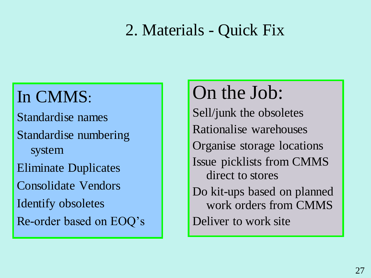#### 2. Materials - Quick Fix

# In CMMS:

Standardise names Standardise numbering system Eliminate Duplicates Consolidate Vendors Identify obsoletes Re-order based on EOQ's

# On the Job:

Sell/junk the obsoletes Rationalise warehouses Organise storage locations Issue picklists from CMMS direct to stores Do kit-ups based on planned work orders from CMMS Deliver to work site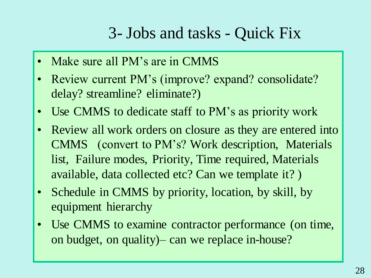#### 3- Jobs and tasks - Quick Fix

- Make sure all PM's are in CMMS
- Review current PM's (improve? expand? consolidate? delay? streamline? eliminate?)
- Use CMMS to dedicate staff to PM's as priority work
- Review all work orders on closure as they are entered into CMMS (convert to PM's? Work description, Materials list, Failure modes, Priority, Time required, Materials available, data collected etc? Can we template it? )
- Schedule in CMMS by priority, location, by skill, by equipment hierarchy
- Use CMMS to examine contractor performance (on time, on budget, on quality)– can we replace in-house?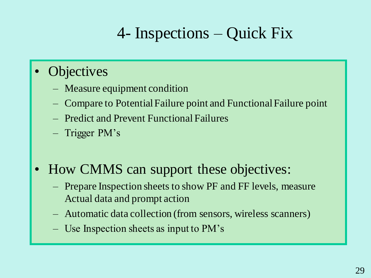## 4- Inspections – Quick Fix

#### **Objectives**

- Measure equipment condition
- Compare to Potential Failure point and Functional Failure point
- Predict and Prevent Functional Failures
- Trigger PM's
- How CMMS can support these objectives:
	- Prepare Inspection sheets to show PF and FF levels, measure Actual data and prompt action
	- Automatic data collection (from sensors, wireless scanners)
	- Use Inspection sheets as input to PM's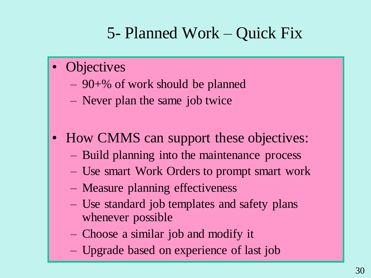## 5- Planned Work – Quick Fix

- **Objectives** 
	- 90+% of work should be planned
	- Never plan the same job twice
- How CMMS can support these objectives:
	- Build planning into the maintenance process
	- Use smart Work Orders to prompt smart work
	- Measure planning effectiveness
	- Use standard job templates and safety plans whenever possible
	- Choose a similar job and modify it
	- Upgrade based on experience of last job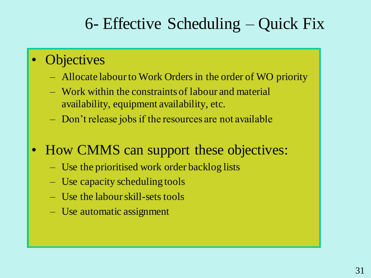#### 6- Effective Scheduling – Quick Fix

- **Objectives** 
	- Allocate labour to Work Orders in the order of WO priority
	- Work within the constraints of labour and material availability, equipment availability, etc.
	- Don't release jobs if the resources are not available
- How CMMS can support these objectives:
	- Use the prioritised work order backlog lists
	- Use capacity scheduling tools
	- Use the labour skill-sets tools
	- Use automatic assignment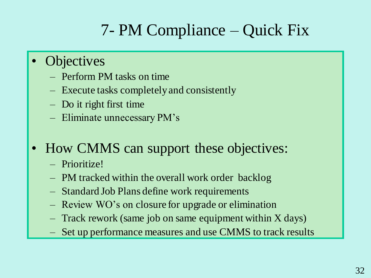## 7- PM Compliance – Quick Fix

- **Objectives** 
	- Perform PM tasks on time
	- Execute tasks completely and consistently
	- Do it right first time
	- Eliminate unnecessary PM's
- How CMMS can support these objectives:
	- Prioritize!
	- PM tracked within the overall work order backlog
	- Standard Job Plans define work requirements
	- Review WO's on closure for upgrade or elimination
	- Track rework (same job on same equipment within X days)
	- Set up performance measures and use CMMS to track results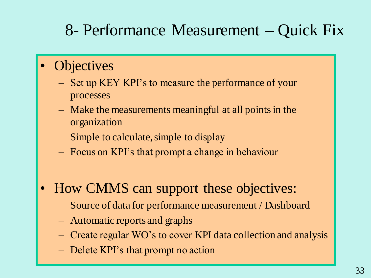#### 8- Performance Measurement – Quick Fix

- **Objectives** 
	- Set up KEY KPI's to measure the performance of your processes
	- Make the measurements meaningful at all points in the organization
	- Simple to calculate, simple to display
	- Focus on KPI's that prompt a change in behaviour
- How CMMS can support these objectives:
	- Source of data for performance measurement / Dashboard
	- Automatic reports and graphs
	- Create regular WO's to cover KPI data collection and analysis
	- Delete KPI's that prompt no action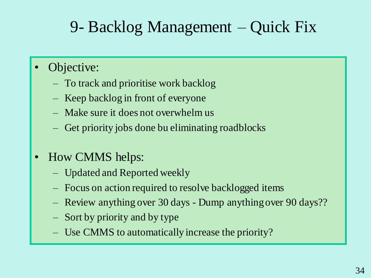## 9- Backlog Management – Quick Fix

#### Objective:

- To track and prioritise work backlog
- Keep backlog in front of everyone
- Make sure it does not overwhelm us
- Get priority jobs done bu eliminating roadblocks
- How CMMS helps:
	- Updated and Reported weekly
	- Focus on action required to resolve backlogged items
	- Review anything over 30 days Dump anything over 90 days??
	- Sort by priority and by type
	- Use CMMS to automatically increase the priority?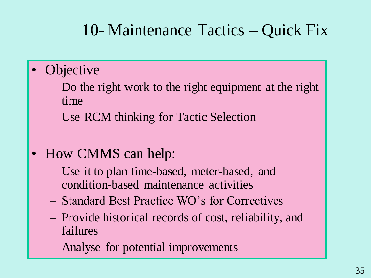#### 10- Maintenance Tactics – Quick Fix

- **Objective** 
	- Do the right work to the right equipment at the right time
	- Use RCM thinking for Tactic Selection
- How CMMS can help:
	- Use it to plan time-based, meter-based, and condition-based maintenance activities
	- Standard Best Practice WO's for Correctives
	- Provide historical records of cost, reliability, and failures
	- Analyse for potential improvements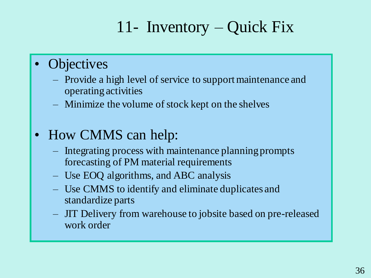## 11- Inventory – Quick Fix

#### **Objectives**

- Provide a high level of service to support maintenance and operating activities
- Minimize the volume of stock kept on the shelves

#### • How CMMS can help:

- Integrating process with maintenance planning prompts forecasting of PM material requirements
- Use EOQ algorithms, and ABC analysis
- Use CMMS to identify and eliminate duplicates and standardize parts
- JIT Delivery from warehouse to jobsite based on pre-released work order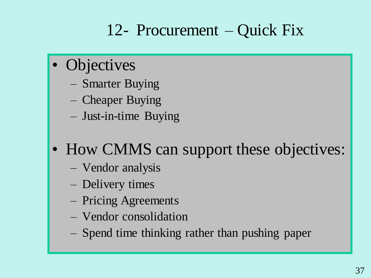## 12- Procurement – Quick Fix

- Objectives
	- Smarter Buying
	- Cheaper Buying
	- Just-in-time Buying
- How CMMS can support these objectives:
	- Vendor analysis
	- Delivery times
	- Pricing Agreements
	- Vendor consolidation
	- Spend time thinking rather than pushing paper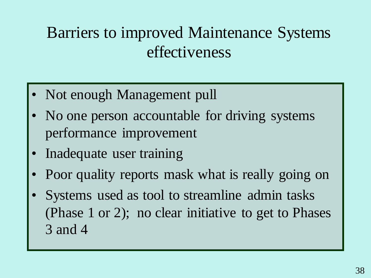### Barriers to improved Maintenance Systems effectiveness

- Not enough Management pull
- No one person accountable for driving systems performance improvement
- Inadequate user training
- Poor quality reports mask what is really going on
- Systems used as tool to streamline admin tasks (Phase 1 or 2); no clear initiative to get to Phases 3 and 4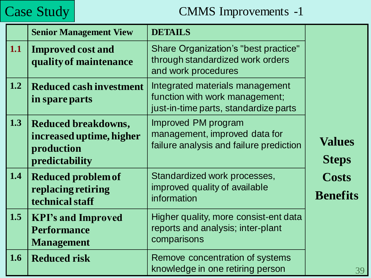#### Case Study | CMMS Improvements -1

|     | <b>Senior Management View</b>                                                          | <b>DETAILS</b>                                                                                             |                                 |
|-----|----------------------------------------------------------------------------------------|------------------------------------------------------------------------------------------------------------|---------------------------------|
| 1.1 | <b>Improved cost and</b><br>quality of maintenance                                     | Share Organization's "best practice"<br>through standardized work orders<br>and work procedures            |                                 |
| 1.2 | <b>Reduced cash investment</b><br>in spare parts                                       | Integrated materials management<br>function with work management;<br>just-in-time parts, standardize parts |                                 |
| 1.3 | <b>Reduced breakdowns,</b><br>increased uptime, higher<br>production<br>predictability | Improved PM program<br>management, improved data for<br>failure analysis and failure prediction            | <b>Values</b><br><b>Steps</b>   |
| 1.4 | <b>Reduced problem of</b><br>replacing retiring<br>technical staff                     | Standardized work processes,<br>improved quality of available<br>information                               | <b>Costs</b><br><b>Benefits</b> |
| 1.5 | <b>KPI's and Improved</b><br><b>Performance</b><br><b>Management</b>                   | Higher quality, more consist-ent data<br>reports and analysis; inter-plant<br>comparisons                  |                                 |
| 1.6 | <b>Reduced risk</b>                                                                    | Remove concentration of systems<br>knowledge in one retiring person                                        | 39                              |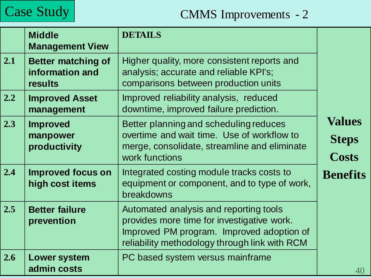

#### Case Study | CMMS Improvements - 2

|     | <b>Middle</b><br><b>Management View</b>                 | <b>DETAILS</b>                                                                                                                                                                     |                                        |
|-----|---------------------------------------------------------|------------------------------------------------------------------------------------------------------------------------------------------------------------------------------------|----------------------------------------|
| 2.1 | <b>Better matching of</b><br>information and<br>results | Higher quality, more consistent reports and<br>analysis; accurate and reliable KPI's;<br>comparisons between production units                                                      |                                        |
| 2.2 | <b>Improved Asset</b><br>management                     | Improved reliability analysis, reduced<br>downtime, improved failure prediction.                                                                                                   |                                        |
| 2.3 | <b>Improved</b><br>manpower<br>productivity             | Better planning and scheduling reduces<br>overtime and wait time. Use of workflow to<br>merge, consolidate, streamline and eliminate<br>work functions                             | <b>Values</b><br><b>Steps</b><br>Costs |
| 2.4 | <b>Improved focus on</b><br>high cost items             | Integrated costing module tracks costs to<br>equipment or component, and to type of work,<br>breakdowns                                                                            | <b>Benefits</b>                        |
| 2.5 | <b>Better failure</b><br>prevention                     | Automated analysis and reporting tools<br>provides more time for investigative work.<br>Improved PM program. Improved adoption of<br>reliability methodology through link with RCM |                                        |
| 2.6 | <b>Lower system</b><br>admin costs                      | PC based system versus mainframe                                                                                                                                                   | 40                                     |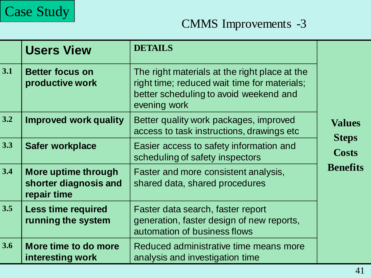

#### CMMS Improvements -3

|       | <b>Users View</b>                                           | <b>DETAILS</b>                                                                                                                                          |                               |
|-------|-------------------------------------------------------------|---------------------------------------------------------------------------------------------------------------------------------------------------------|-------------------------------|
| 3.1   | <b>Better focus on</b><br>productive work                   | The right materials at the right place at the<br>right time; reduced wait time for materials;<br>better scheduling to avoid weekend and<br>evening work |                               |
| $3.2$ | <b>Improved work quality</b>                                | Better quality work packages, improved<br>access to task instructions, drawings etc                                                                     | <b>Values</b><br><b>Steps</b> |
| 3.3   | <b>Safer workplace</b>                                      | Easier access to safety information and<br>scheduling of safety inspectors                                                                              | <b>Costs</b>                  |
| 3.4   | More uptime through<br>shorter diagnosis and<br>repair time | Faster and more consistent analysis,<br>shared data, shared procedures                                                                                  | <b>Benefits</b>               |
| 3.5   | <b>Less time required</b><br>running the system             | Faster data search, faster report<br>generation, faster design of new reports,<br>automation of business flows                                          |                               |
| 3.6   | More time to do more<br>interesting work                    | Reduced administrative time means more<br>analysis and investigation time                                                                               |                               |